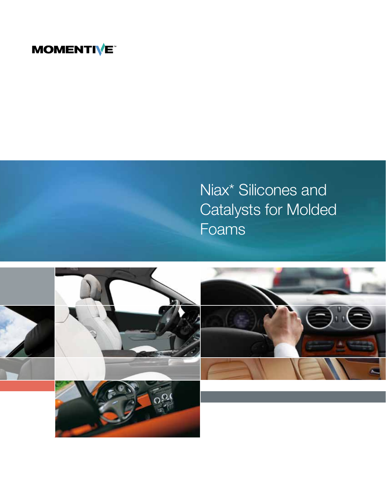# **MOMENTIVE**



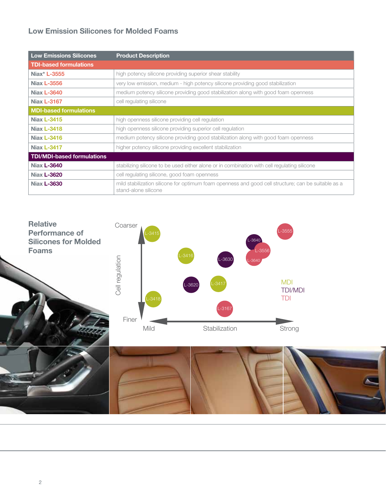# Low Emission Silicones for Molded Foams

| <b>Low Emissions Silicones</b>    | <b>Product Description</b>                                                                                                  |  |  |  |  |
|-----------------------------------|-----------------------------------------------------------------------------------------------------------------------------|--|--|--|--|
| <b>TDI-based formulations</b>     |                                                                                                                             |  |  |  |  |
| Niax* L-3555                      | high potency silicone providing superior shear stability                                                                    |  |  |  |  |
| <b>Niax L-3556</b>                | very low emission, medium - high potency silicone providing good stabilization                                              |  |  |  |  |
| <b>Niax L-3640</b>                | medium potency silicone providing good stabilization along with good foam openness                                          |  |  |  |  |
| <b>Niax L-3167</b>                | cell regulating silicone                                                                                                    |  |  |  |  |
| <b>MDI-based formulations</b>     |                                                                                                                             |  |  |  |  |
| <b>Niax L-3415</b>                | high openness silicone providing cell regulation                                                                            |  |  |  |  |
| <b>Niax L-3418</b>                | high openness silicone providing superior cell regulation                                                                   |  |  |  |  |
| <b>Niax L-3416</b>                | medium potency silicone providing good stabilization along with good foam openness                                          |  |  |  |  |
| <b>Niax L-3417</b>                | higher potency silicone providing excellent stabilization                                                                   |  |  |  |  |
| <b>TDI/MDI-based formulations</b> |                                                                                                                             |  |  |  |  |
| Niax <b>L-3640</b>                | stabilizing silicone to be used either alone or in combination with cell regulating silicone                                |  |  |  |  |
| Niax <b>L-3620</b>                | cell regulating silicone, good foam openness                                                                                |  |  |  |  |
| Niax <b>L-3630</b>                | mild stabilization silicone for optimum foam openness and good cell structure; can be suitable as a<br>stand-alone silicone |  |  |  |  |

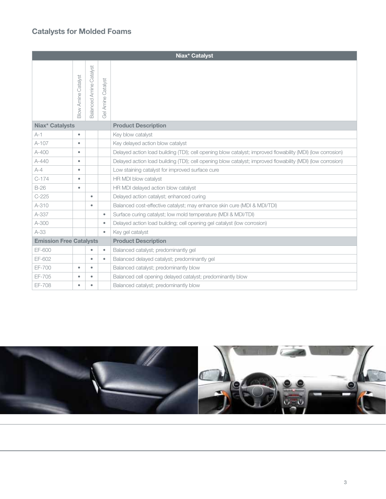# Catalysts for Molded Foams

| Niax* Catalyst                 |                            |                                |                                                                     |                                                                                                            |  |
|--------------------------------|----------------------------|--------------------------------|---------------------------------------------------------------------|------------------------------------------------------------------------------------------------------------|--|
|                                | <b>3low Amine Catalyst</b> | <b>Balanced Amine Catalyst</b> | Catalyst<br>Amine (<br>$\overline{\overset{\bigcirc}{\mathcal{O}}}$ |                                                                                                            |  |
| Niax* Catalysts                |                            |                                | <b>Product Description</b>                                          |                                                                                                            |  |
| $A-1$                          | $\bullet$                  |                                |                                                                     | Key blow catalyst                                                                                          |  |
| $A-107$                        | $\bullet$                  |                                |                                                                     | Key delayed action blow catalyst                                                                           |  |
| $A - 400$                      | $\bullet$                  |                                |                                                                     | Delayed action load building (TDI); cell opening blow catalyst; improved flowability (MDI) (low corrosion) |  |
| $A - 440$                      | $\bullet$                  |                                |                                                                     | Delayed action load building (TDI); cell opening blow catalyst; improved flowability (MDI) (low corrosion) |  |
| $A-4$                          | $\bullet$                  |                                |                                                                     | Low staining catalyst for improved surface cure                                                            |  |
| $C-174$                        | $\bullet$                  |                                |                                                                     | HR MDI blow catalyst                                                                                       |  |
| $B-26$                         | $\bullet$                  |                                |                                                                     | HR MDI delayed action blow catalyst                                                                        |  |
| $C-225$                        |                            | ٠                              |                                                                     | Delayed action catalyst; enhanced curing                                                                   |  |
| A-310                          |                            | $\bullet$                      |                                                                     | Balanced cost-effective catalyst; may enhance skin cure (MDI & MDI/TDI)                                    |  |
| A-337                          |                            |                                | $\bullet$                                                           | Surface curing catalyst; low mold temperature (MDI & MDI/TDI)                                              |  |
| A-300                          |                            |                                | $\bullet$                                                           | Delayed action load building; cell opening gel catalyst (low corrosion)                                    |  |
| $A-33$                         |                            |                                | ۰                                                                   | Key gel catalyst                                                                                           |  |
| <b>Emission Free Catalysts</b> |                            |                                | <b>Product Description</b>                                          |                                                                                                            |  |
| EF-600                         |                            | ٠                              | $\bullet$                                                           | Balanced catalyst; predominantly gel                                                                       |  |
| EF-602                         |                            | $\bullet$                      | $\bullet$                                                           | Balanced delayed catalyst; predominantly gel                                                               |  |
| EF-700                         | $\bullet$                  | ۰                              |                                                                     | Balanced catalyst; predominantly blow                                                                      |  |
| EF-705                         | $\bullet$                  | $\bullet$                      |                                                                     | Balanced cell opening delayed catalyst; predominantly blow                                                 |  |
| EF-708                         | $\bullet$                  | ٠                              |                                                                     | Balanced catalyst; predominantly blow                                                                      |  |